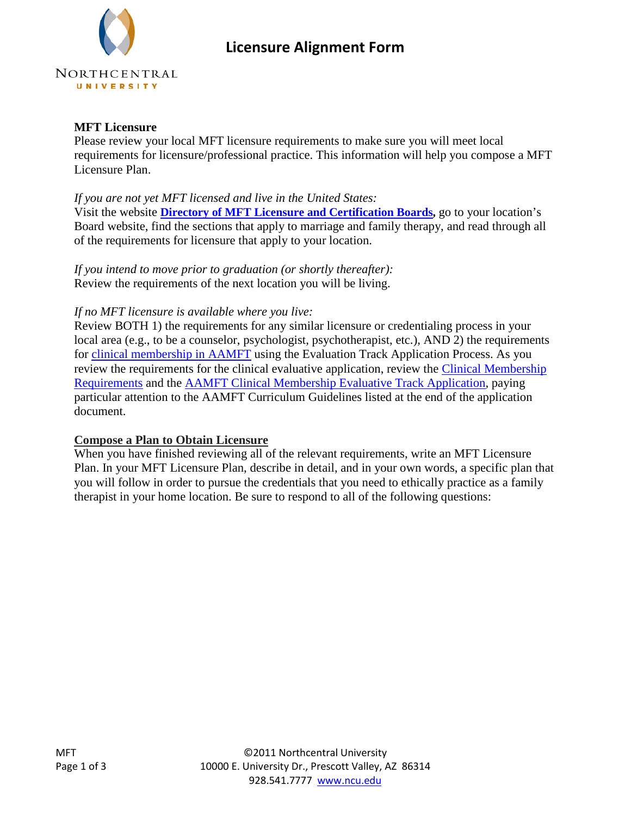# **Licensure Alignment Form**

### **MFT Licensure**

Please review your local MFT licensure requirements to make sure you will meet local requirements for licensure/professional practice. This information will help you compose a MFT Licensure Plan.

## *If you are not yet MFT licensed and live in the United States:*

Visit the website **[Directory of MFT Licensure and Certification Boards,](http://www.aamft.org/iMIS15/AAMFT/Directories/MFT_Licensing_Boards/Content/Directories/MFT_Licensing_Boards.aspx?hkey=b1033df3-6882-491e-87fd-a75c2f7be070)** go to your location's Board website, find the sections that apply to marriage and family therapy, and read through all of the requirements for licensure that apply to your location.

*If you intend to move prior to graduation (or shortly thereafter):* Review the requirements of the next location you will be living.

## *If no MFT licensure is available where you live:*

Review BOTH 1) the requirements for any similar licensure or credentialing process in your local area (e.g., to be a counselor, psychologist, psychotherapist, etc.), AND 2) the requirements for [clinical membership in AAMFT](http://www.aamft.org/iMIS15/AAMFT/Membership/Levels_of_Membership/Content/Membership/Join_AAMFT.aspx?hkey=82371579-4943-4945-8420-ff6c8175498a) using the Evaluation Track Application Process. As you review the requirements for the clinical evaluative application, review the [Clinical Membership](http://www.aamft.org/imis15/Documents/Requirements%20for%20Clinical%20Evaluative.pdf)  [Requirements](http://www.aamft.org/imis15/Documents/Requirements%20for%20Clinical%20Evaluative.pdf) and the [AAMFT Clinical Membership Evaluative Track Application,](http://www.aamft.org/imis15/documents/clinical%20evaluative.pdf) paying particular attention to the AAMFT Curriculum Guidelines listed at the end of the application document.

### **Compose a Plan to Obtain Licensure**

When you have finished reviewing all of the relevant requirements, write an MFT Licensure Plan. In your MFT Licensure Plan, describe in detail, and in your own words, a specific plan that you will follow in order to pursue the credentials that you need to ethically practice as a family therapist in your home location. Be sure to respond to all of the following questions: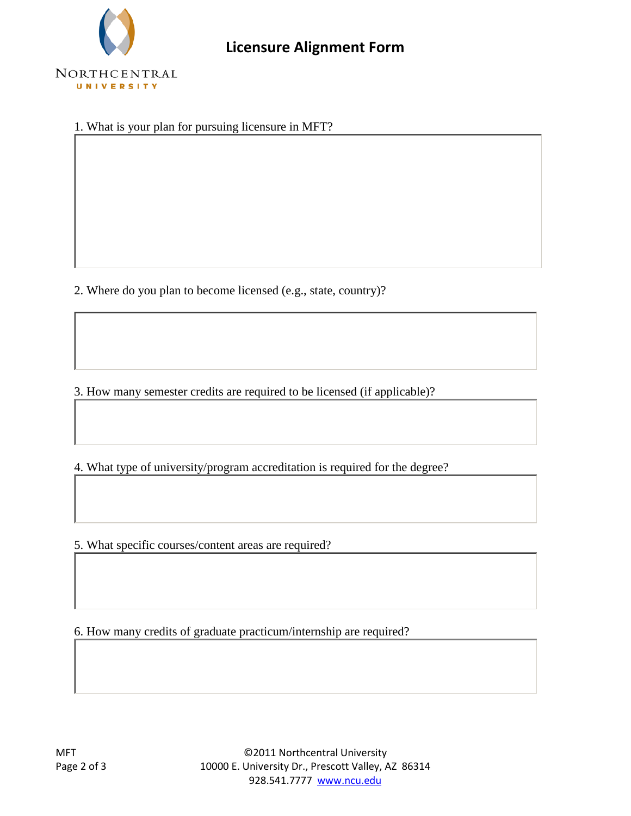

1. What is your plan for pursuing licensure in MFT?

2. Where do you plan to become licensed (e.g., state, country)?

3. How many semester credits are required to be licensed (if applicable)?

4. What type of university/program accreditation is required for the degree?

5. What specific courses/content areas are required?

6. How many credits of graduate practicum/internship are required?